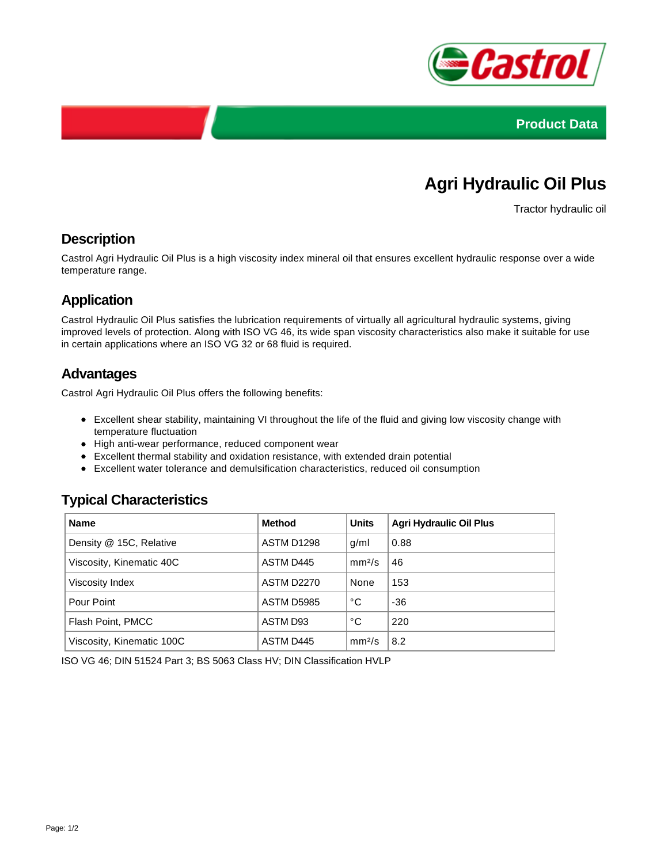



# **Agri Hydraulic Oil Plus**

Tractor hydraulic oil

#### **Description**

Castrol Agri Hydraulic Oil Plus is a high viscosity index mineral oil that ensures excellent hydraulic response over a wide temperature range.

### **Application**

Castrol Hydraulic Oil Plus satisfies the lubrication requirements of virtually all agricultural hydraulic systems, giving improved levels of protection. Along with ISO VG 46, its wide span viscosity characteristics also make it suitable for use in certain applications where an ISO VG 32 or 68 fluid is required.

#### **Advantages**

Castrol Agri Hydraulic Oil Plus offers the following benefits:

- Excellent shear stability, maintaining VI throughout the life of the fluid and giving low viscosity change with temperature fluctuation
- High anti-wear performance, reduced component wear
- Excellent thermal stability and oxidation resistance, with extended drain potential
- Excellent water tolerance and demulsification characteristics, reduced oil consumption

## **Typical Characteristics**

| <b>Name</b>               | <b>Method</b>     | <b>Units</b>       | <b>Agri Hydraulic Oil Plus</b> |
|---------------------------|-------------------|--------------------|--------------------------------|
| Density @ 15C, Relative   | ASTM D1298        | g/ml               | 0.88                           |
| Viscosity, Kinematic 40C  | ASTM D445         | mm <sup>2</sup> /s | 46                             |
| Viscosity Index           | <b>ASTM D2270</b> | None               | 153                            |
| Pour Point                | ASTM D5985        | °С                 | $-36$                          |
| Flash Point, PMCC         | ASTM D93          | °C                 | 220                            |
| Viscosity, Kinematic 100C | ASTM D445         | mm <sup>2</sup> /s | 8.2                            |

ISO VG 46; DIN 51524 Part 3; BS 5063 Class HV; DIN Classification HVLP